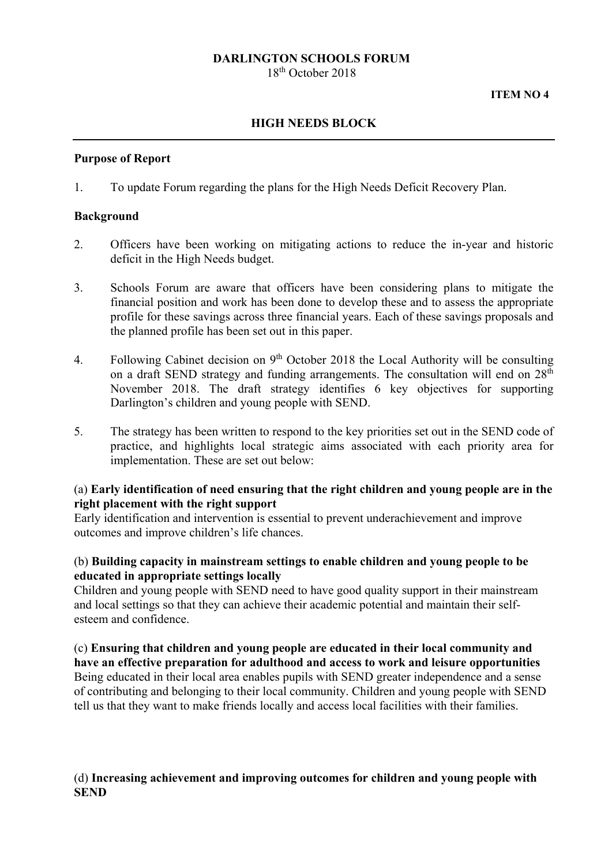#### **DARLINGTON SCHOOLS FORUM**

18th October 2018

#### **ITEM NO 4**

# **HIGH NEEDS BLOCK**

#### **Purpose of Report**

1. To update Forum regarding the plans for the High Needs Deficit Recovery Plan.

#### **Background**

- 2. Officers have been working on mitigating actions to reduce the in-year and historic deficit in the High Needs budget.
- 3. Schools Forum are aware that officers have been considering plans to mitigate the financial position and work has been done to develop these and to assess the appropriate profile for these savings across three financial years. Each of these savings proposals and the planned profile has been set out in this paper.
- 4. Following Cabinet decision on 9th October 2018 the Local Authority will be consulting on a draft SEND strategy and funding arrangements. The consultation will end on  $28<sup>th</sup>$ November 2018. The draft strategy identifies 6 key objectives for supporting Darlington's children and young people with SEND.
- 5. The strategy has been written to respond to the key priorities set out in the SEND code of practice, and highlights local strategic aims associated with each priority area for implementation. These are set out below:

## (a) **Early identification of need ensuring that the right children and young people are in the right placement with the right support**

Early identification and intervention is essential to prevent underachievement and improve outcomes and improve children's life chances.

## (b) **Building capacity in mainstream settings to enable children and young people to be educated in appropriate settings locally**

Children and young people with SEND need to have good quality support in their mainstream and local settings so that they can achieve their academic potential and maintain their selfesteem and confidence.

## (c) **Ensuring that children and young people are educated in their local community and have an effective preparation for adulthood and access to work and leisure opportunities**  Being educated in their local area enables pupils with SEND greater independence and a sense of contributing and belonging to their local community. Children and young people with SEND tell us that they want to make friends locally and access local facilities with their families.

## (d) **Increasing achievement and improving outcomes for children and young people with SEND**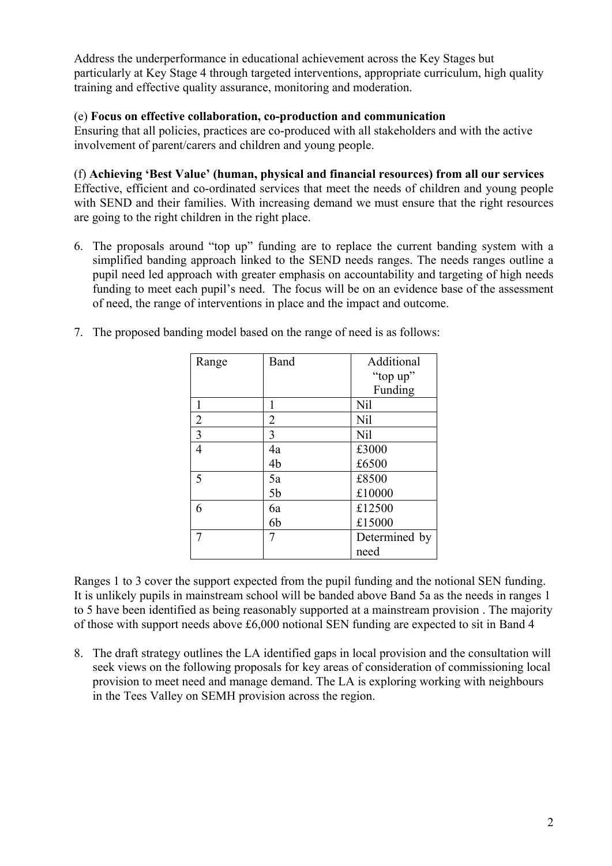Address the underperformance in educational achievement across the Key Stages but particularly at Key Stage 4 through targeted interventions, appropriate curriculum, high quality training and effective quality assurance, monitoring and moderation.

## (e) **Focus on effective collaboration, co-production and communication**

Ensuring that all policies, practices are co-produced with all stakeholders and with the active involvement of parent/carers and children and young people.

#### (f) **Achieving 'Best Value' (human, physical and financial resources) from all our services**

Effective, efficient and co-ordinated services that meet the needs of children and young people with SEND and their families. With increasing demand we must ensure that the right resources are going to the right children in the right place.

 6. The proposals around "top up" funding are to replace the current banding system with a simplified banding approach linked to the SEND needs ranges. The needs ranges outline a pupil need led approach with greater emphasis on accountability and targeting of high needs funding to meet each pupil's need. The focus will be on an evidence base of the assessment of need, the range of interventions in place and the impact and outcome.

| Range          | Band           | Additional      |  |
|----------------|----------------|-----------------|--|
|                |                | "top up"        |  |
|                |                | Funding         |  |
| 1              | 1              | <b>Nil</b>      |  |
| $\overline{2}$ | 2              | <b>Nil</b>      |  |
| $\overline{3}$ | 3              | N <sub>il</sub> |  |
| $\overline{4}$ | 4a             | £3000           |  |
|                | 4b             | £6500           |  |
| 5              | 5a             | £8500           |  |
|                | 5 <sub>b</sub> | £10000          |  |
| 6              | 6a             | £12500          |  |
|                | 6b             | £15000          |  |
| 7              | 7              | Determined by   |  |
|                |                | need            |  |

7. The proposed banding model based on the range of need is as follows:

Ranges 1 to 3 cover the support expected from the pupil funding and the notional SEN funding. It is unlikely pupils in mainstream school will be banded above Band 5a as the needs in ranges 1 to 5 have been identified as being reasonably supported at a mainstream provision . The majority of those with support needs above £6,000 notional SEN funding are expected to sit in Band 4

8. The draft strategy outlines the LA identified gaps in local provision and the consultation will seek views on the following proposals for key areas of consideration of commissioning local provision to meet need and manage demand. The LA is exploring working with neighbours in the Tees Valley on SEMH provision across the region.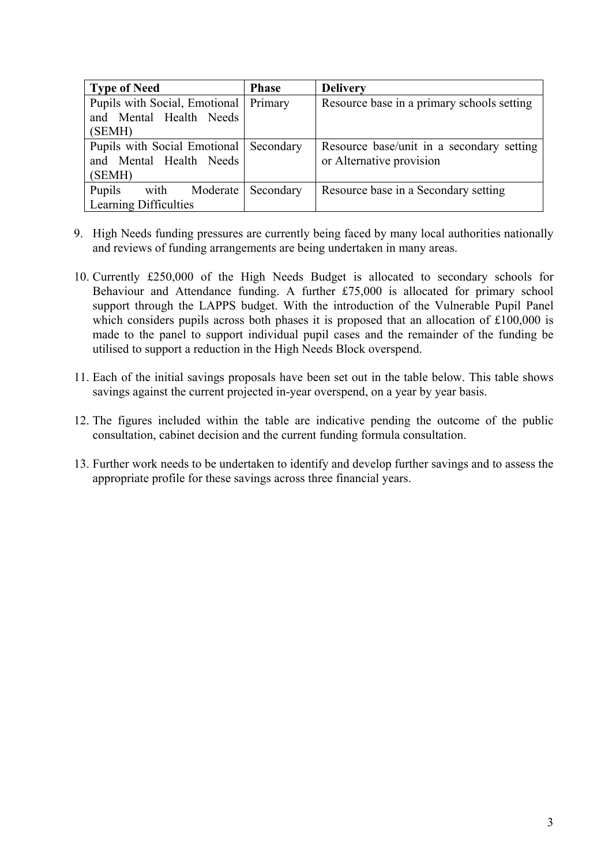| <b>Type of Need</b>           | <b>Phase</b> | <b>Delivery</b>                            |  |
|-------------------------------|--------------|--------------------------------------------|--|
| Pupils with Social, Emotional | Primary      | Resource base in a primary schools setting |  |
| and Mental Health Needs       |              |                                            |  |
| (SEMH)                        |              |                                            |  |
| Pupils with Social Emotional  | Secondary    | Resource base/unit in a secondary setting  |  |
| and Mental Health Needs       |              | or Alternative provision                   |  |
| (SEMH)                        |              |                                            |  |
| Pupils<br>with Moderate       | Secondary    | Resource base in a Secondary setting       |  |
| Learning Difficulties         |              |                                            |  |

- 9. High Needs funding pressures are currently being faced by many local authorities nationally and reviews of funding arrangements are being undertaken in many areas.
- 10. Currently £250,000 of the High Needs Budget is allocated to secondary schools for Behaviour and Attendance funding. A further £75,000 is allocated for primary school support through the LAPPS budget. With the introduction of the Vulnerable Pupil Panel which considers pupils across both phases it is proposed that an allocation of £100,000 is made to the panel to support individual pupil cases and the remainder of the funding be utilised to support a reduction in the High Needs Block overspend.
- 11. Each of the initial savings proposals have been set out in the table below. This table shows savings against the current projected in-year overspend, on a year by year basis.
- 12. The figures included within the table are indicative pending the outcome of the public consultation, cabinet decision and the current funding formula consultation.
- 13. Further work needs to be undertaken to identify and develop further savings and to assess the appropriate profile for these savings across three financial years.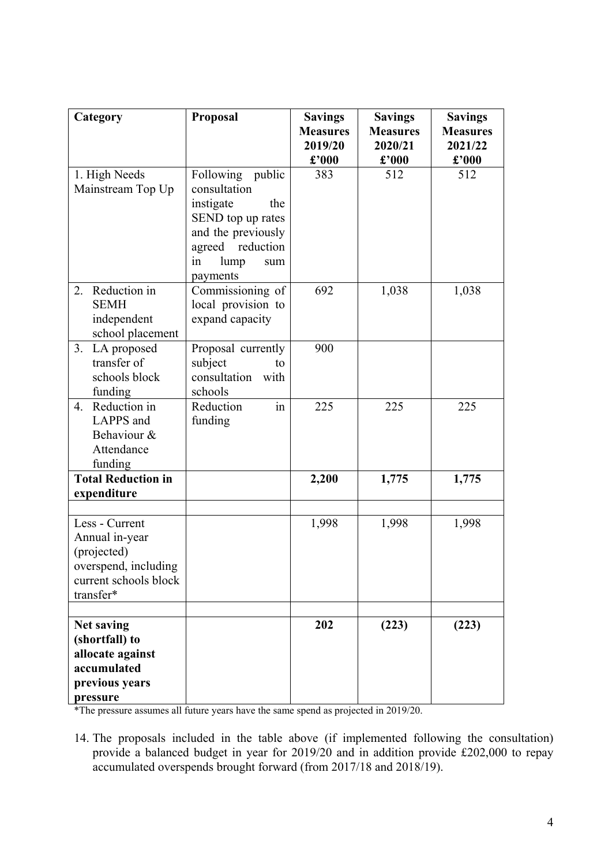| Category                                                                                                      | Proposal                                                                                                                                             | <b>Savings</b><br><b>Measures</b><br>2019/20 | <b>Savings</b><br><b>Measures</b><br>2020/21 | <b>Savings</b><br><b>Measures</b><br>2021/22 |
|---------------------------------------------------------------------------------------------------------------|------------------------------------------------------------------------------------------------------------------------------------------------------|----------------------------------------------|----------------------------------------------|----------------------------------------------|
|                                                                                                               |                                                                                                                                                      | $\pounds$ '000                               | $\pounds$ '000                               | $\pounds$ '000                               |
| 1. High Needs<br>Mainstream Top Up                                                                            | Following public<br>consultation<br>instigate<br>the<br>SEND top up rates<br>and the previously<br>agreed reduction<br>lump<br>in<br>sum<br>payments | 383                                          | 512                                          | 512                                          |
| Reduction in<br>2.<br><b>SEMH</b><br>independent<br>school placement                                          | Commissioning of<br>local provision to<br>expand capacity                                                                                            | 692                                          | 1,038                                        | 1,038                                        |
| LA proposed<br>3.<br>transfer of<br>schools block<br>funding                                                  | Proposal currently<br>subject<br>to<br>consultation<br>with<br>schools                                                                               | 900                                          |                                              |                                              |
| Reduction in<br>4.<br>LAPPS and<br>Behaviour &<br>Attendance<br>funding                                       | Reduction<br>in<br>funding                                                                                                                           | 225                                          | 225                                          | 225                                          |
| <b>Total Reduction in</b>                                                                                     |                                                                                                                                                      | 2,200                                        | 1,775                                        | 1,775                                        |
| expenditure                                                                                                   |                                                                                                                                                      |                                              |                                              |                                              |
| Less - Current<br>Annual in-year<br>(projected)<br>overspend, including<br>current schools block<br>transfer* |                                                                                                                                                      | 1,998                                        | 1,998                                        | 1,998                                        |
|                                                                                                               |                                                                                                                                                      |                                              |                                              |                                              |
| <b>Net saving</b><br>(shortfall) to<br>allocate against<br>accumulated<br>previous years<br>pressure          |                                                                                                                                                      | 202                                          | (223)                                        | (223)                                        |

\*The pressure assumes all future years have the same spend as projected in 2019/20.

14. The proposals included in the table above (if implemented following the consultation) provide a balanced budget in year for 2019/20 and in addition provide £202,000 to repay accumulated overspends brought forward (from 2017/18 and 2018/19).